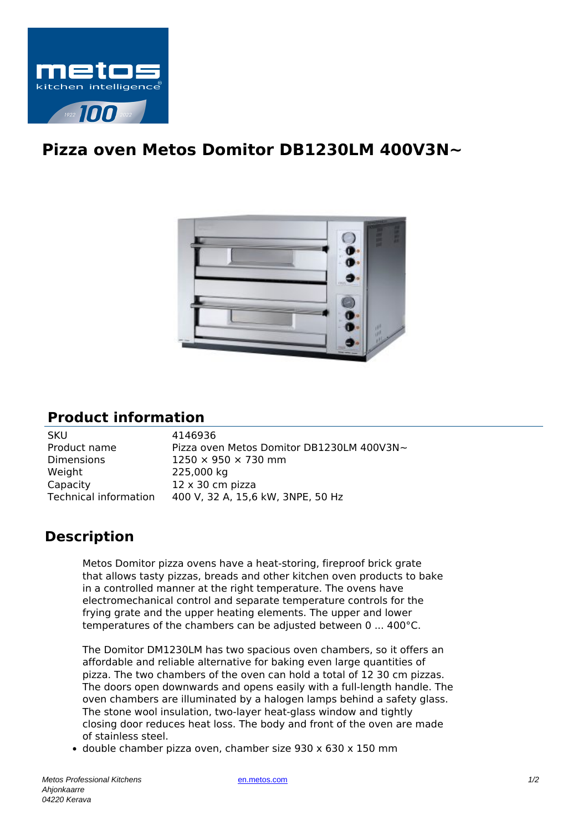

## **Pizza oven Metos Domitor DB1230LM 400V3N~**



## **Product information**

| <b>SKU</b>            | 4146936                                   |
|-----------------------|-------------------------------------------|
| Product name          | Pizza oven Metos Domitor DB1230LM 400V3N~ |
| <b>Dimensions</b>     | $1250 \times 950 \times 730$ mm           |
| Weight                | 225,000 kg                                |
| Capacity              | $12 \times 30$ cm pizza                   |
| Technical information | 400 V, 32 A, 15,6 kW, 3NPE, 50 Hz         |

## **Description**

Metos Domitor pizza ovens have a heat-storing, fireproof brick grate that allows tasty pizzas, breads and other kitchen oven products to bake in a controlled manner at the right temperature. The ovens have electromechanical control and separate temperature controls for the frying grate and the upper heating elements. The upper and lower temperatures of the chambers can be adjusted between 0 ... 400°C.

The Domitor DM1230LM has two spacious oven chambers, so it offers an affordable and reliable alternative for baking even large quantities of pizza. The two chambers of the oven can hold a total of 12 30 cm pizzas. The doors open downwards and opens easily with a full-length handle. The oven chambers are illuminated by a halogen lamps behind a safety glass. The stone wool insulation, two-layer heat-glass window and tightly closing door reduces heat loss. The body and front of the oven are made of stainless steel.

double chamber pizza oven, chamber size 930 x 630 x 150 mm